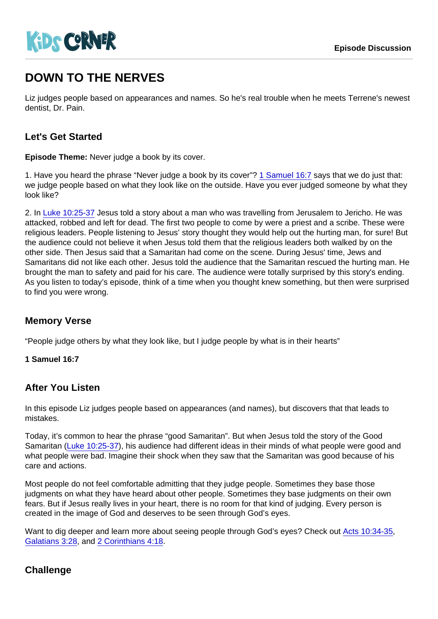# DOWN TO THE NERVES

Liz judges people based on appearances and names. So he's real trouble when he meets Terrene's newest dentist, Dr. Pain.

## Let's Get Started

Episode Theme: Never judge a book by its cover.

1. Have you heard the phrase "Never judge a book by its cover"? [1 Samuel 16:7](https://www.biblegateway.com/passage/?search=1+Samuel+16:7) says that we do just that: we judge people based on what they look like on the outside. Have you ever judged someone by what they look like?

2. In [Luke 10:25-37](https://www.biblegateway.com/passage/?search=Luke+10:25-37) Jesus told a story about a man who was travelling from Jerusalem to Jericho. He was attacked, robbed and left for dead. The first two people to come by were a priest and a scribe. These were religious leaders. People listening to Jesus' story thought they would help out the hurting man, for sure! But the audience could not believe it when Jesus told them that the religious leaders both walked by on the other side. Then Jesus said that a Samaritan had come on the scene. During Jesus' time, Jews and Samaritans did not like each other. Jesus told the audience that the Samaritan rescued the hurting man. He brought the man to safety and paid for his care. The audience were totally surprised by this story's ending. As you listen to today's episode, think of a time when you thought knew something, but then were surprised to find you were wrong.

## Memory Verse

"People judge others by what they look like, but I judge people by what is in their hearts"

1 Samuel 16:7

#### After You Listen

In this episode Liz judges people based on appearances (and names), but discovers that that leads to mistakes.

Today, it's common to hear the phrase "good Samaritan". But when Jesus told the story of the Good Samaritan ([Luke 10:25-37](https://www.biblegateway.com/passage/?search=Luke+10:25-37)), his audience had different ideas in their minds of what people were good and what people were bad. Imagine their shock when they saw that the Samaritan was good because of his care and actions.

Most people do not feel comfortable admitting that they judge people. Sometimes they base those judgments on what they have heard about other people. Sometimes they base judgments on their own fears. But if Jesus really lives in your heart, there is no room for that kind of judging. Every person is created in the image of God and deserves to be seen through God's eyes.

Want to dig deeper and learn more about seeing people through God's eyes? Check out [Acts 10:34-35](https://www.biblegateway.com/passage/?search=Acts+10:34-35), [Galatians 3:28,](https://www.biblegateway.com/passage/?search=Galatians+3:28) and [2 Corinthians 4:18.](https://www.biblegateway.com/passage/?search=2+Corinthians+4:18)

## **Challenge**